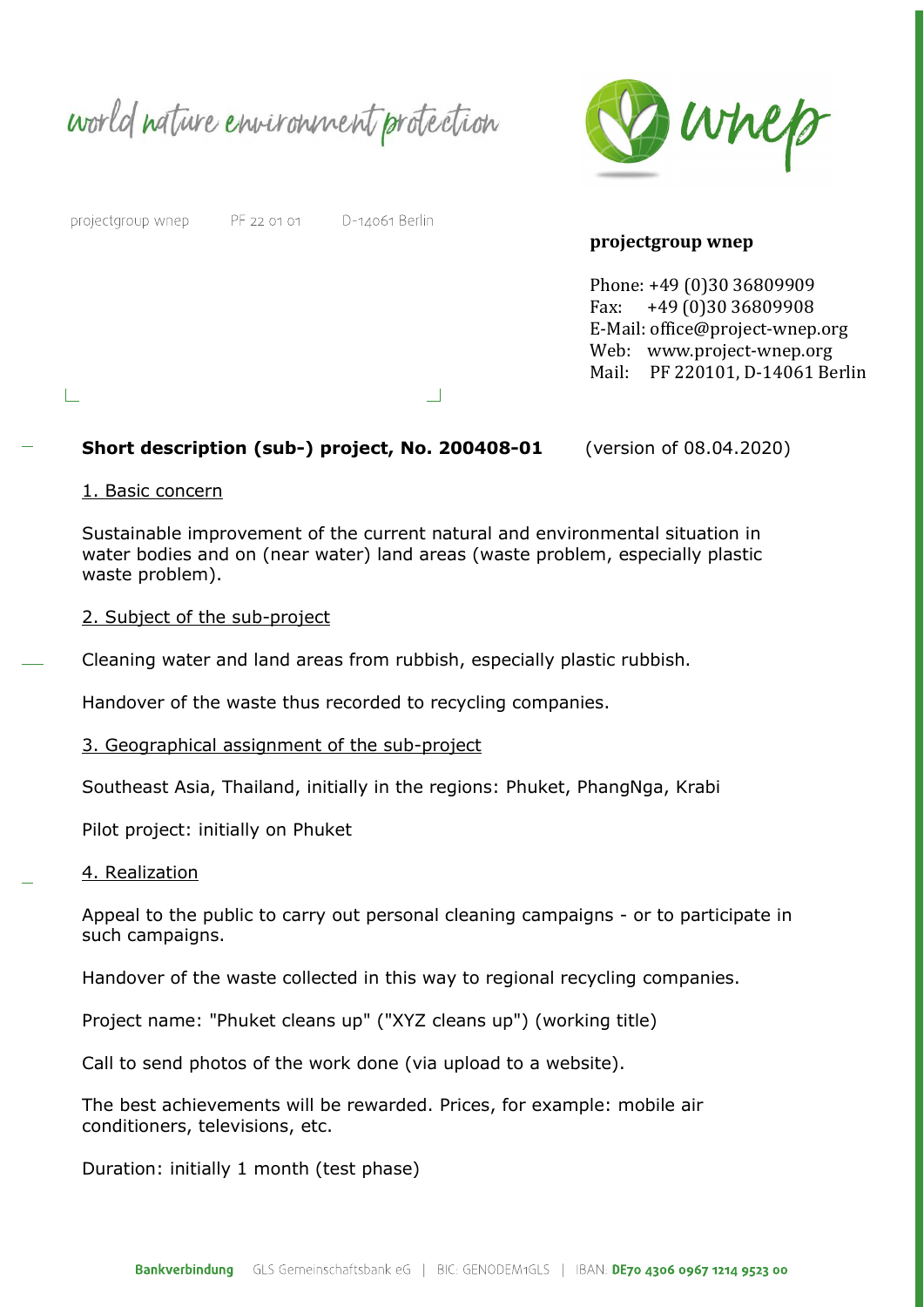world nature environment protection



#### projectgroup wnep

PF 22 01 01 D-14061 Berlin

### projectgroup wnep

Phone: +49 (0)30 36809909 Fax: +49 (0)30 36809908 E-Mail: office@project-wnep.org Web: www.project-wnep.org Mail: PF 220101, D-14061 Berlin

## Short description (sub-) project, No. 200408-01 (version of 08.04.2020)

#### 1. Basic concern

Sustainable improvement of the current natural and environmental situation in water bodies and on (near water) land areas (waste problem, especially plastic waste problem).

 $\Box$ 

#### 2. Subject of the sub-project

Cleaning water and land areas from rubbish, especially plastic rubbish.

Handover of the waste thus recorded to recycling companies.

#### 3. Geographical assignment of the sub-project

Southeast Asia, Thailand, initially in the regions: Phuket, PhangNga, Krabi

Pilot project: initially on Phuket

#### 4. Realization

Appeal to the public to carry out personal cleaning campaigns - or to participate in such campaigns.

Handover of the waste collected in this way to regional recycling companies.

Project name: "Phuket cleans up" ("XYZ cleans up") (working title)

Call to send photos of the work done (via upload to a website).

The best achievements will be rewarded. Prices, for example: mobile air conditioners, televisions, etc.

Duration: initially 1 month (test phase)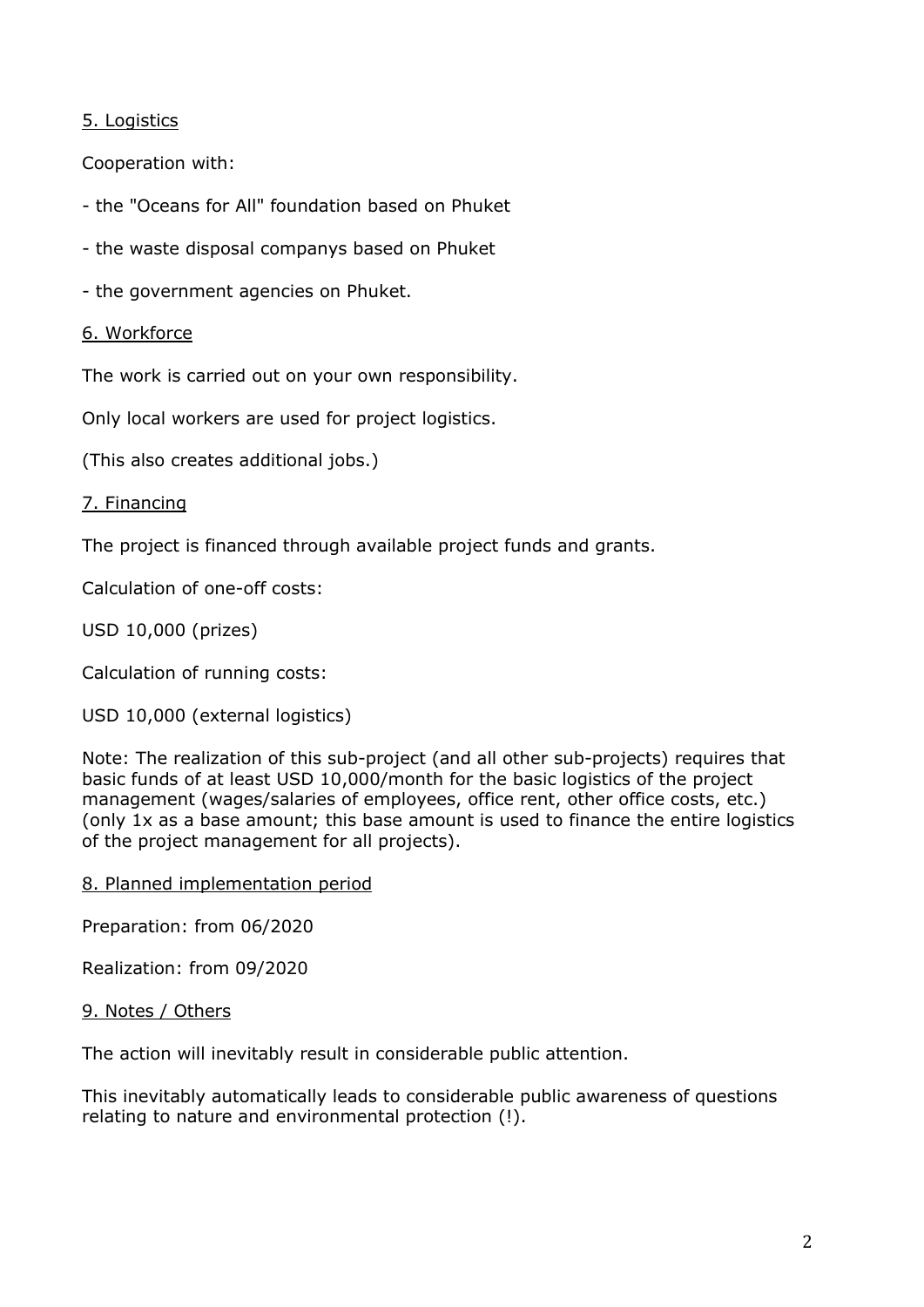# 5. Logistics

Cooperation with:

- the "Oceans for All" foundation based on Phuket
- the waste disposal companys based on Phuket
- the government agencies on Phuket.

# 6. Workforce

The work is carried out on your own responsibility.

Only local workers are used for project logistics.

(This also creates additional jobs.)

# 7. Financing

The project is financed through available project funds and grants.

Calculation of one-off costs:

USD 10,000 (prizes)

Calculation of running costs:

USD 10,000 (external logistics)

Note: The realization of this sub-project (and all other sub-projects) requires that basic funds of at least USD 10,000/month for the basic logistics of the project management (wages/salaries of employees, office rent, other office costs, etc.) (only 1x as a base amount; this base amount is used to finance the entire logistics of the project management for all projects).

8. Planned implementation period

Preparation: from 06/2020

Realization: from 09/2020

### 9. Notes / Others

The action will inevitably result in considerable public attention.

This inevitably automatically leads to considerable public awareness of questions relating to nature and environmental protection (!).